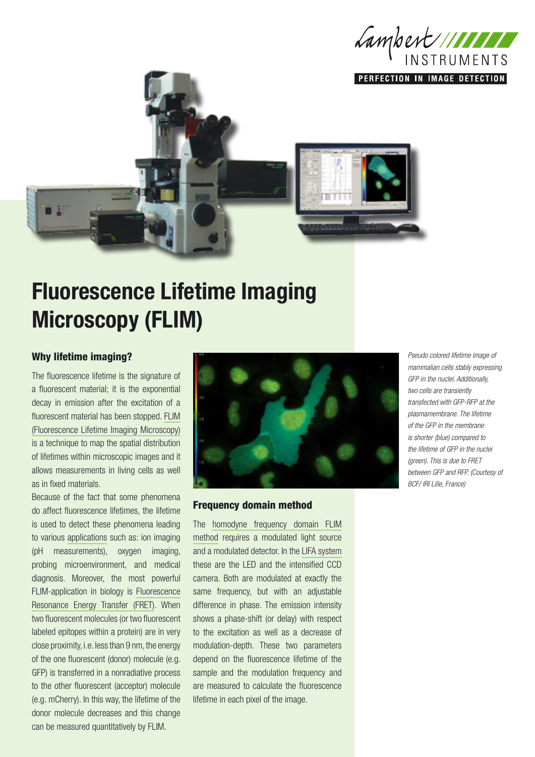

PERFECTION IN IMAGE DETECTION



# Fluorescence Lifetime Imaging Microscopy (FLIM)

### Why lifetime imaging?

The fluorescence lifetime is the signature of a fluorescent material; it is the exponential decay in emission after the excitation of a fluorescent material has been stopped. [FLIM](http://www.lambert-instruments.com/technologies/1_english/4_technologies/1_flim,_fluorescence_lifetime_imaging_microscopy)  [\(Fluorescence Lifetime Imaging Microscopy\)](http://www.lambert-instruments.com/technologies/1_english/4_technologies/1_flim,_fluorescence_lifetime_imaging_microscopy) is a technique to map the spatial distribution of lifetimes within microscopic images and it allows measurements in living cells as well as in fixed materials.

Because of the fact that some phenomena do affect fluorescence lifetimes, the lifetime is used to detect these phenomena leading to various [applications](http://www.lambert-instruments.com/applications/1_english/5_applications/2_cell_biology_-_microscopy) such as: ion imaging (pH measurements), oxygen imaging, probing microenvironment, and medical diagnosis. Moreover, the most powerful FLIM-application in biology is [Fluorescence](http://www.lambert-instruments.com/technologies/1_english/4_technologies/2_fret,_fluorescence_resonance_energy_transfer)  [Resonance Energy Transfer \(FRET\).](http://www.lambert-instruments.com/technologies/1_english/4_technologies/2_fret,_fluorescence_resonance_energy_transfer) When two fluorescent molecules (or two fluorescent labeled epitopes within a protein) are in very close proximity, i.e. less than 9 nm, the energy of the one fluorescent (donor) molecule (e.g. GFP) is transferred in a nonradiative process to the other fluorescent (acceptor) molecule (e.g. mCherry). In this way, the lifetime of the donor molecule decreases and this change can be measured quantitatively by FLIM.



#### Frequency domain method

The [homodyne frequency domain FLIM](http://www.lambert-instruments.com/technology_details/1_english/4_technologies/1_flim,_fluorescence_lifetime_imaging_microscopy/7_measurement_methods_flim) [method](http://www.lambert-instruments.com/technology_details/1_english/4_technologies/1_flim,_fluorescence_lifetime_imaging_microscopy/7_measurement_methods_flim) requires a modulated light source and a modulated detector. In the [LIFA system](http://www.lambert-instruments.com/product_details/1_english/2_products/9_fluorescence_lifetime_imaging_-flim/29_lifa,_lambert_instruments_fluorescence_attachment) these are the LED and the intensified CCD camera. Both are modulated at exactly the same frequency, but with an adjustable difference in phase. The emission intensity shows a phase-shift (or delay) with respect to the excitation as well as a decrease of modulation-depth. These two parameters depend on the fluorescence lifetime of the sample and the modulation frequency and are measured to calculate the fluorescence lifetime in each pixel of the image.

*Pseudo colored lifetime image of mammalian cells stably expressing GFP in the nuclei. Additionally, two cells are transiently transfected with GFP-RFP at the plasmamembrane. The lifetime of the GFP in the membrane is shorter (blue) compared to the lifetime of GFP in the nuclei (green). This is due to FRET between GFP and RFP. (Courtesy of BCF/ IRI Lille, France)*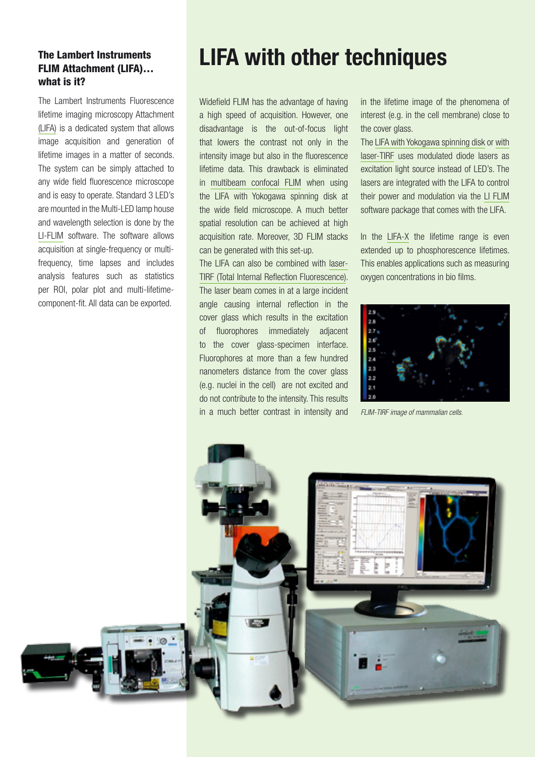## The Lambert Instruments FLIM Attachment (LIFA)… what is it?

The Lambert Instruments Fluorescence lifetime imaging microscopy Attachment [\(LIFA\)](http://www.lambert-instruments.com/product_details/1_english/2_products/9_fluorescence_lifetime_imaging_-flim/29_lifa,_lambert_instruments_fluorescence_attachment) is a dedicated system that allows image acquisition and generation of lifetime images in a matter of seconds. The system can be simply attached to any wide field fluorescence microscope and is easy to operate. Standard 3 LED's are mounted in the Multi-LED lamp house and wavelength selection is done by the [LI-FLIM](http://www.lambert-instruments.com/products/1_english/2_products/14_li-flim_software) software. The software allows acquisition at single-frequency or multifrequency, time lapses and includes analysis features such as statistics per ROI, polar plot and multi-lifetimecomponent-fit. All data can be exported.

## LIFA with other techniques

Widefield FLIM has the advantage of having a high speed of acquisition. However, one disadvantage is the out-of-focus light that lowers the contrast not only in the intensity image but also in the fluorescence lifetime data. This drawback is eliminated in [multibeam confocal FLIM](http://www.lambert-instruments.com/product_details/1_english/2_products/9_fluorescence_lifetime_imaging_microscopy/58_lifa_-_combined_to_yokogawa_spinning_disk) when using the LIFA with Yokogawa spinning disk at the wide field microscope. A much better spatial resolution can be achieved at high acquisition rate. Moreover, 3D FLIM stacks can be generated with this set-up.

The LIFA can also be combined with laser-[TIRF \(Total Internal Reflection Fluorescence\)](http://www.lambert-instruments.com/product_details/1_english/2_products/9_fluorescence_lifetime_imaging_microscopy/59_lifa_-_combined_to_laser-tirf). The laser beam comes in at a large incident angle causing internal reflection in the cover glass which results in the excitation of fluorophores immediately adjacent to the cover glass-specimen interface. Fluorophores at more than a few hundred nanometers distance from the cover glass (e.g. nuclei in the cell) are not excited and do not contribute to the intensity. This results in a much better contrast in intensity and

in the lifetime image of the phenomena of interest (e.g. in the cell membrane) close to the cover glass.

The [LIFA with Yokogawa spinning disk](http://www.lambert-instruments.com/product_details/1_english/2_products/9_fluorescence_lifetime_imaging_microscopy/58_lifa_-_combined_to_yokogawa_spinning_disk) or [with](http://www.lambert-instruments.com/product_details/1_english/2_products/9_fluorescence_lifetime_imaging_microscopy/59_lifa_-_combined_to_laser-tirf)  [laser-TIRF](http://www.lambert-instruments.com/product_details/1_english/2_products/9_fluorescence_lifetime_imaging_microscopy/59_lifa_-_combined_to_laser-tirf) uses modulated diode lasers as excitation light source instead of LED's. The lasers are integrated with the LIFA to control their power and modulation via the [LI FLIM](http://www.lambert-instruments.com/products/1_english/2_products/14_li-flim_software) software package that comes with the LIFA.

In the [LIFA-X](http://www.lambert-instruments.com/product_details/1_english/2_products/9_fluorescence_lifetime_imaging_microscopy/67_lifa-x,_for_long_lifetime_phosphorescence_imaging) the lifetime range is even extended up to phosphorescence lifetimes. This enables applications such as measuring oxygen concentrations in bio films.



*FLIM-TIRF image of mammalian cells.*

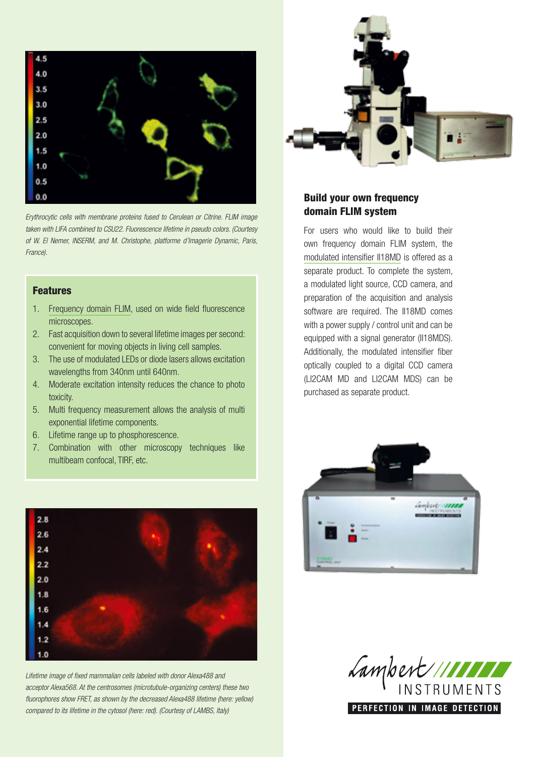

*Erythrocytic cells with membrane proteins fused to Cerulean or Citrine. FLIM image taken with LIFA combined to CSU22. Fluorescence lifetime in pseudo colors. (Courtesy of W. El Nemer, INSERM, and M. Christophe, platforme d'Imagerie Dynamic, Paris, France).*

### Features

- 1. [Frequency domain FLIM,](http://www.lambert-instruments.com/technology_details/1_english/4_technologies/1_flim,_fluorescence_lifetime_imaging_microscopy/7_measurement_methods_flim) used on wide field fluorescence microscopes.
- 2. Fast acquisition down to several lifetime images per second: convenient for moving objects in living cell samples.
- 3. The use of modulated LEDs or diode lasers allows excitation wavelengths from 340nm until 640nm.
- 4. Moderate excitation intensity reduces the chance to photo toxicity.
- 5. Multi frequency measurement allows the analysis of multi exponential lifetime components.
- 6. Lifetime range up to phosphorescence.
- 7. Combination with other microscopy techniques like multibeam confocal, TIRF, etc.



*Lifetime image of fixed mammalian cells labeled with donor Alexa488 and acceptor Alexa568. At the centrosomes (microtubule-organizing centers) these two fluorophores show FRET, as shown by the decreased Alexa488 lifetime (here: yellow) compared to its lifetime in the cytosol (here: red). (Courtesy of LAMBS, Italy)*



## Build your own frequency domain FLIM system

For users who would like to build their own frequency domain FLIM system, the [modulated intensifier II18MD](http://www.lambert-instruments.com/product_details/1_english/2_products/9_fluorescence_lifetime_imaging_-flim/30_ii18md,_modulated_image_intensifier) is offered as a separate product. To complete the system, a modulated light source, CCD camera, and preparation of the acquisition and analysis software are required. The II18MD comes with a power supply / control unit and can be equipped with a signal generator (II18MDS). Additionally, the modulated intensifier fiber optically coupled to a digital CCD camera (LI2CAM MD and LI2CAM MDS) can be purchased as separate product.